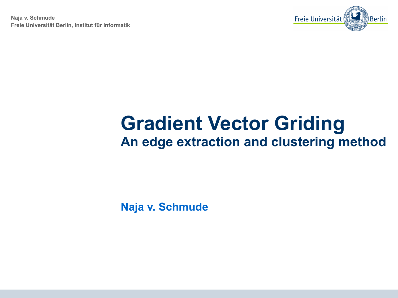**Naja v. Schmude Freie Universität Berlin, Institut für Informatik**



### **Gradient Vector Griding An edge extraction and clustering method**

**Naja v. Schmude**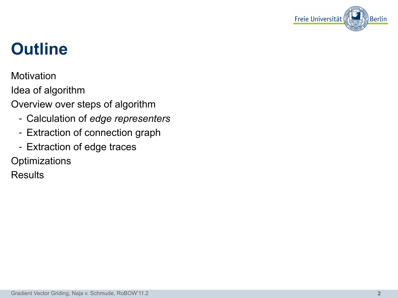

## **Outline**

**Motivation** 

Idea of algorithm

Overview over steps of algorithm

- Calculation of *edge representers*
- Extraction of connection graph
- Extraction of edge traces

**Optimizations** 

**Results**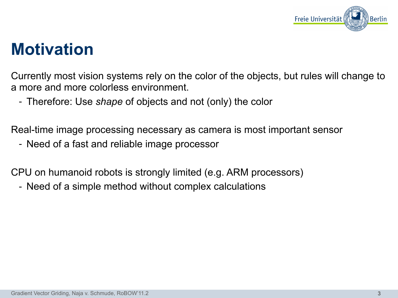

#### **Motivation**

Currently most vision systems rely on the color of the objects, but rules will change to a more and more colorless environment.

- Therefore: Use *shape* of objects and not (only) the color

Real-time image processing necessary as camera is most important sensor

- Need of a fast and reliable image processor

CPU on humanoid robots is strongly limited (e.g. ARM processors)

- Need of a simple method without complex calculations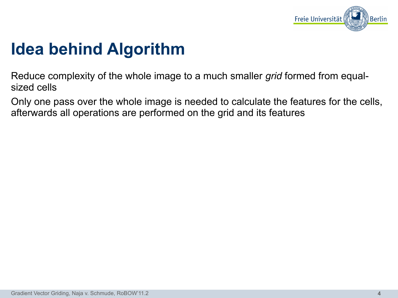

### **Idea behind Algorithm**

Reduce complexity of the whole image to a much smaller *grid* formed from equalsized cells

Only one pass over the whole image is needed to calculate the features for the cells, afterwards all operations are performed on the grid and its features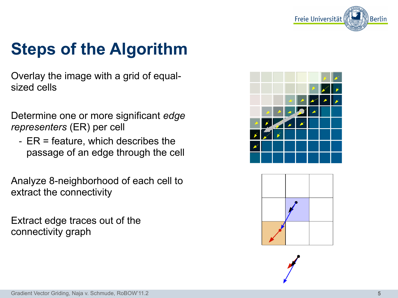

# **Steps of the Algorithm**

Overlay the image with a grid of equalsized cells

Determine one or more significant *edge representers* (ER) per cell

- ER = feature, which describes the passage of an edge through the cell

Analyze 8-neighborhood of each cell to extract the connectivity

Extract edge traces out of the connectivity graph



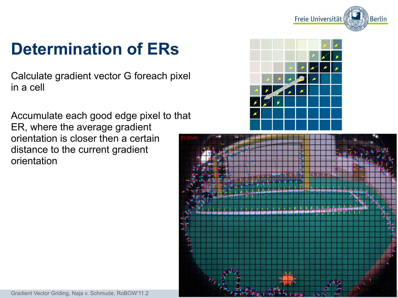

# **Determination of ERs**

Calculate gradient vector G foreach pixel in a cell

Accumulate each good edge pixel to that ER, where the average gradient orientation is closer then a certain distance to the current gradient orientation



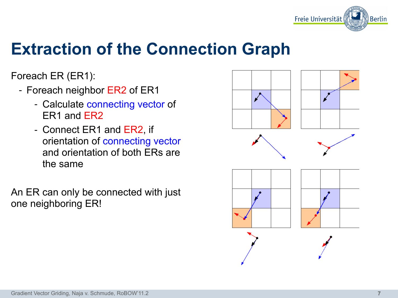

### **Extraction of the Connection Graph**

Foreach ER (ER1):

- Foreach neighbor ER2 of ER1
	- Calculate connecting vector of ER1 and ER2
	- Connect ER1 and ER2, if orientation of connecting vector and orientation of both ERs are the same

An ER can only be connected with just one neighboring ER!

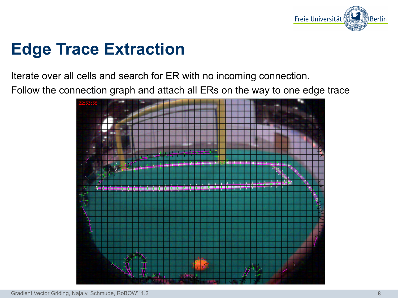

## **Edge Trace Extraction**

Iterate over all cells and search for ER with no incoming connection.

Follow the connection graph and attach all ERs on the way to one edge trace

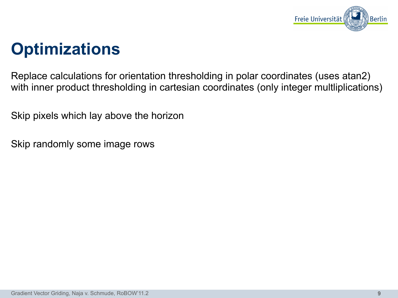

#### **Optimizations**

Replace calculations for orientation thresholding in polar coordinates (uses atan2) with inner product thresholding in cartesian coordinates (only integer multliplications)

Skip pixels which lay above the horizon

Skip randomly some image rows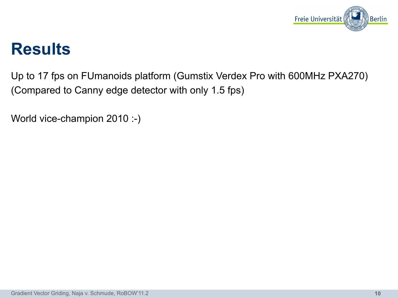

#### **Results**

Up to 17 fps on FUmanoids platform (Gumstix Verdex Pro with 600MHz PXA270) (Compared to Canny edge detector with only 1.5 fps)

World vice-champion 2010 :-)